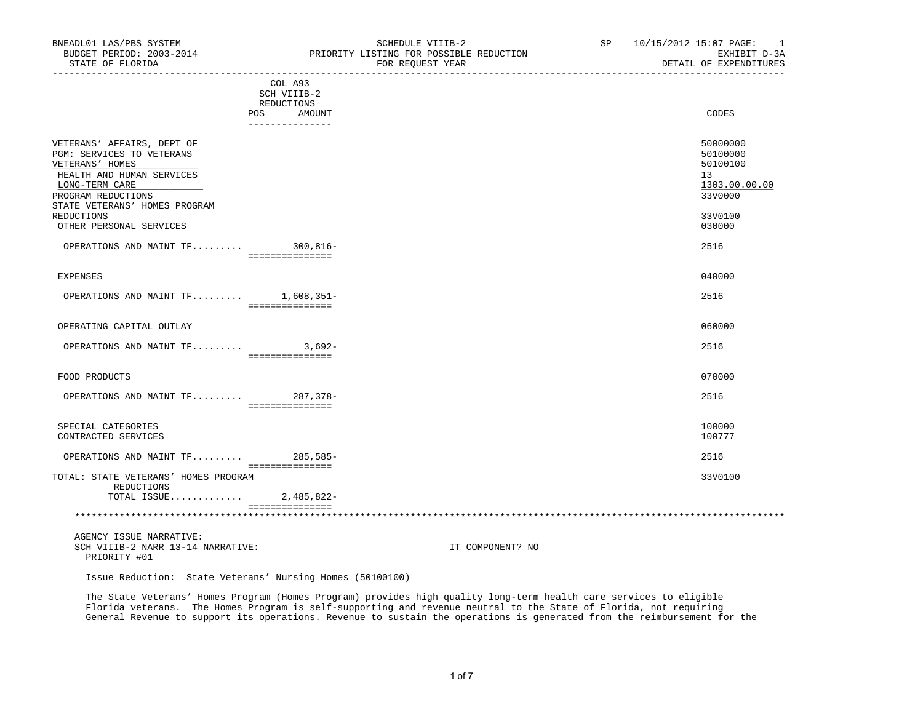| BUDGET PERIOD: 2003-2014<br>STATE OF FLORIDA                                                                                                                                     | PRIORITY LISTING FOR POSSIBLE REDUCTION<br>FOR REOUEST YEAR | EXHIBIT D-3A<br>DETAIL OF EXPENDITURES                             |
|----------------------------------------------------------------------------------------------------------------------------------------------------------------------------------|-------------------------------------------------------------|--------------------------------------------------------------------|
|                                                                                                                                                                                  | COL A93<br>SCH VIIIB-2<br>REDUCTIONS<br>POS AMOUNT          | CODES                                                              |
|                                                                                                                                                                                  | _______________                                             |                                                                    |
| VETERANS' AFFAIRS, DEPT OF<br>PGM: SERVICES TO VETERANS<br>VETERANS' HOMES<br>HEALTH AND HUMAN SERVICES<br>LONG-TERM CARE<br>PROGRAM REDUCTIONS<br>STATE VETERANS' HOMES PROGRAM |                                                             | 50000000<br>50100000<br>50100100<br>13<br>1303.00.00.00<br>33V0000 |
| REDUCTIONS<br>OTHER PERSONAL SERVICES                                                                                                                                            |                                                             | 33V0100<br>030000                                                  |
| OPERATIONS AND MAINT TF 300,816-                                                                                                                                                 | ===============                                             | 2516                                                               |
| <b>EXPENSES</b>                                                                                                                                                                  |                                                             | 040000                                                             |
| OPERATIONS AND MAINT TF 1,608,351-                                                                                                                                               | ===============                                             | 2516                                                               |
| OPERATING CAPITAL OUTLAY                                                                                                                                                         |                                                             | 060000                                                             |
| OPERATIONS AND MAINT $TF$ 3,692-                                                                                                                                                 | ----------------                                            | 2516                                                               |
| FOOD PRODUCTS                                                                                                                                                                    |                                                             | 070000                                                             |
| OPERATIONS AND MAINT TF 287,378-                                                                                                                                                 | ===============                                             | 2516                                                               |
| SPECIAL CATEGORIES<br>CONTRACTED SERVICES                                                                                                                                        |                                                             | 100000<br>100777                                                   |
| OPERATIONS AND MAINT TF 285,585-                                                                                                                                                 | ===============                                             | 2516                                                               |
| TOTAL: STATE VETERANS' HOMES PROGRAM<br>REDUCTIONS                                                                                                                               |                                                             | 33V0100                                                            |

 AGENCY ISSUE NARRATIVE: SCH VIIIB-2 NARR 13-14 NARRATIVE: IT COMPONENT? NO PRIORITY #01

Issue Reduction: State Veterans' Nursing Homes (50100100)

===============

TOTAL ISSUE............. 2,485,822-

 The State Veterans' Homes Program (Homes Program) provides high quality long-term health care services to eligible Florida veterans. The Homes Program is self-supporting and revenue neutral to the State of Florida, not requiring General Revenue to support its operations. Revenue to sustain the operations is generated from the reimbursement for the

\*\*\*\*\*\*\*\*\*\*\*\*\*\*\*\*\*\*\*\*\*\*\*\*\*\*\*\*\*\*\*\*\*\*\*\*\*\*\*\*\*\*\*\*\*\*\*\*\*\*\*\*\*\*\*\*\*\*\*\*\*\*\*\*\*\*\*\*\*\*\*\*\*\*\*\*\*\*\*\*\*\*\*\*\*\*\*\*\*\*\*\*\*\*\*\*\*\*\*\*\*\*\*\*\*\*\*\*\*\*\*\*\*\*\*\*\*\*\*\*\*\*\*\*\*\*\*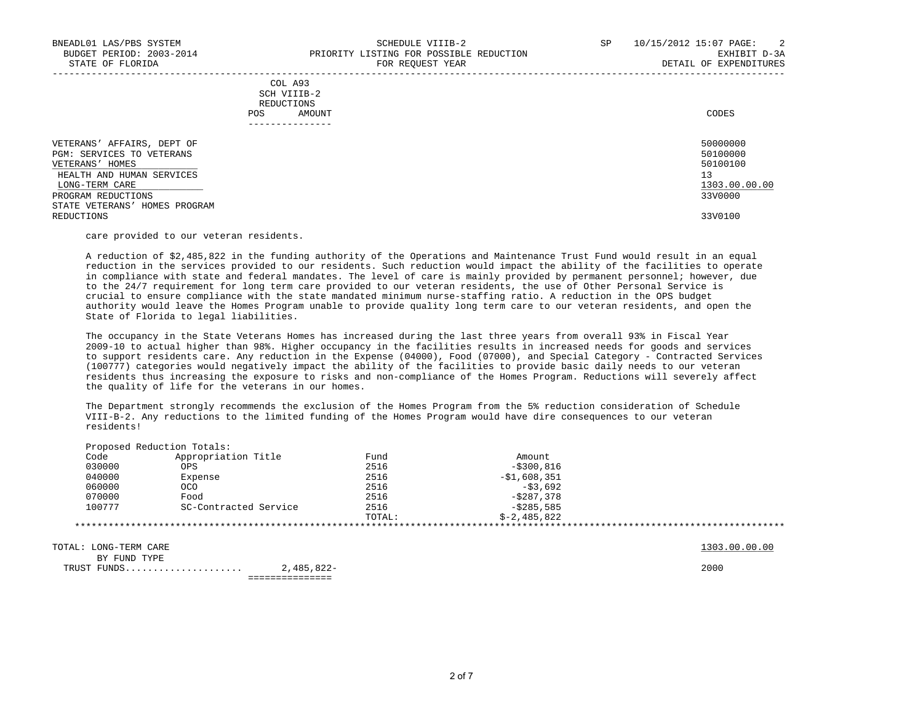|     | --------------- |       |
|-----|-----------------|-------|
| POS | AMOUNT          | CODES |
|     | REDUCTIONS      |       |
|     | SCH VIIIB-2     |       |
|     | COL A93         |       |

| VETERANS' AFFAIRS, DEPT OF       | 50000000      |
|----------------------------------|---------------|
| PGM: SERVICES TO VETERANS        | 50100000      |
| VETERANS' HOMES                  | 50100100      |
| HEALTH AND HUMAN SERVICES        | 13            |
| LONG-TERM CARE                   | 1303.00.00.00 |
| PROGRAM REDUCTIONS               | 33V0000       |
| HOMES PROGRAM<br>STATE VETERANS' |               |
| REDUCTIONS                       | 33V0100       |

-----------------------------------------------------------------------------------------------------------------------------------

care provided to our veteran residents.

 A reduction of \$2,485,822 in the funding authority of the Operations and Maintenance Trust Fund would result in an equal reduction in the services provided to our residents. Such reduction would impact the ability of the facilities to operate in compliance with state and federal mandates. The level of care is mainly provided by permanent personnel; however, due to the 24/7 requirement for long term care provided to our veteran residents, the use of Other Personal Service is crucial to ensure compliance with the state mandated minimum nurse-staffing ratio. A reduction in the OPS budget authority would leave the Homes Program unable to provide quality long term care to our veteran residents, and open the State of Florida to legal liabilities.

 The occupancy in the State Veterans Homes has increased during the last three years from overall 93% in Fiscal Year 2009-10 to actual higher than 98%. Higher occupancy in the facilities results in increased needs for goods and services to support residents care. Any reduction in the Expense (04000), Food (07000), and Special Category - Contracted Services (100777) categories would negatively impact the ability of the facilities to provide basic daily needs to our veteran residents thus increasing the exposure to risks and non-compliance of the Homes Program. Reductions will severely affect the quality of life for the veterans in our homes.

 The Department strongly recommends the exclusion of the Homes Program from the 5% reduction consideration of Schedule VIII-B-2. Any reductions to the limited funding of the Homes Program would have dire consequences to our veteran residents!

| Code   | Appropriation Title   | Fund   | Amount        |  |
|--------|-----------------------|--------|---------------|--|
| 030000 | OPS                   | 2516   | $-$ \$300,816 |  |
| 040000 | Expense               | 2516   | -\$1,608,351  |  |
| 060000 | <b>OCO</b>            | 2516   | $-53.692$     |  |
| 070000 | Food                  | 2516   | $-5287.378$   |  |
| 100777 | SC-Contracted Service | 2516   | $-5285.585$   |  |
|        |                       | TOTAL: | $$-2,485,822$ |  |

TOTAL: LONG-TERM CARE 1303.00.00.00 \_\_\_\_\_\_\_\_\_\_\_\_\_

BY FUND TYPE

 TRUST FUNDS..................... 2,485,822- 2000 ===============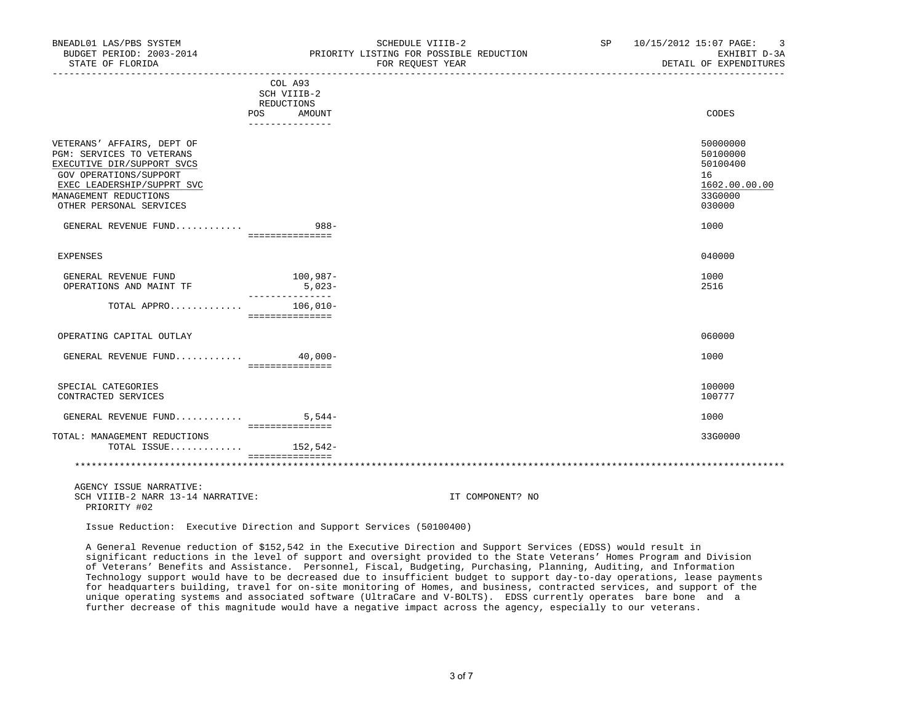| BUDGET PERIOD: 2003-2014<br>STATE OF FLORIDA                                                                                                                                                      | PRIORITY LISTING FOR POSSIBLE REDUCTION<br>FOR REOUEST YEAR                                                     | EXHIBIT D-3A<br>DETAIL OF EXPENDITURES                                       |
|---------------------------------------------------------------------------------------------------------------------------------------------------------------------------------------------------|-----------------------------------------------------------------------------------------------------------------|------------------------------------------------------------------------------|
|                                                                                                                                                                                                   | ______________________________________<br>COL A93<br>SCH VIIIB-2<br>REDUCTIONS<br>POS AMOUNT<br>_______________ | ____________________________<br>CODES                                        |
| VETERANS' AFFAIRS, DEPT OF<br>PGM: SERVICES TO VETERANS<br>EXECUTIVE DIR/SUPPORT SVCS<br>GOV OPERATIONS/SUPPORT<br>EXEC LEADERSHIP/SUPPRT SVC<br>MANAGEMENT REDUCTIONS<br>OTHER PERSONAL SERVICES |                                                                                                                 | 50000000<br>50100000<br>50100400<br>16<br>1602.00.00.00<br>33G0000<br>030000 |
| GENERAL REVENUE FUND                                                                                                                                                                              | $988 -$<br>_===============                                                                                     | 1000                                                                         |
| <b>EXPENSES</b>                                                                                                                                                                                   |                                                                                                                 | 040000                                                                       |
| GENERAL REVENUE FUND<br>OPERATIONS AND MAINT TF                                                                                                                                                   | 100,987-<br>$5,023-$<br>_______________                                                                         | 1000<br>2516                                                                 |
| TOTAL APPRO 106,010-                                                                                                                                                                              | ===============                                                                                                 |                                                                              |
| OPERATING CAPITAL OUTLAY                                                                                                                                                                          |                                                                                                                 | 060000                                                                       |
| GENERAL REVENUE FUND 40,000-                                                                                                                                                                      | ================                                                                                                | 1000                                                                         |
| SPECIAL CATEGORIES<br>CONTRACTED SERVICES                                                                                                                                                         |                                                                                                                 | 100000<br>100777                                                             |
| GENERAL REVENUE FUND $5,544-$                                                                                                                                                                     | - ===============                                                                                               | 1000                                                                         |
| TOTAL: MANAGEMENT REDUCTIONS<br>TOTAL ISSUE 152,542-                                                                                                                                              | ===============                                                                                                 | 33G0000                                                                      |
|                                                                                                                                                                                                   |                                                                                                                 |                                                                              |

BNEADL01 LAS/PBS SYSTEM SCHEDULE VIIIB-2 SCHEDULE VIIIB-2 SP 10/15/2012 15:07 PAGE: 3

 AGENCY ISSUE NARRATIVE: SCH VIIIB-2 NARR 13-14 NARRATIVE: IT COMPONENT? NO PRIORITY #02

Issue Reduction: Executive Direction and Support Services (50100400)

 A General Revenue reduction of \$152,542 in the Executive Direction and Support Services (EDSS) would result in significant reductions in the level of support and oversight provided to the State Veterans' Homes Program and Division of Veterans' Benefits and Assistance. Personnel, Fiscal, Budgeting, Purchasing, Planning, Auditing, and Information Technology support would have to be decreased due to insufficient budget to support day-to-day operations, lease payments for headquarters building, travel for on-site monitoring of Homes, and business, contracted services, and support of the unique operating systems and associated software (UltraCare and V-BOLTS). EDSS currently operates bare bone and a further decrease of this magnitude would have a negative impact across the agency, especially to our veterans.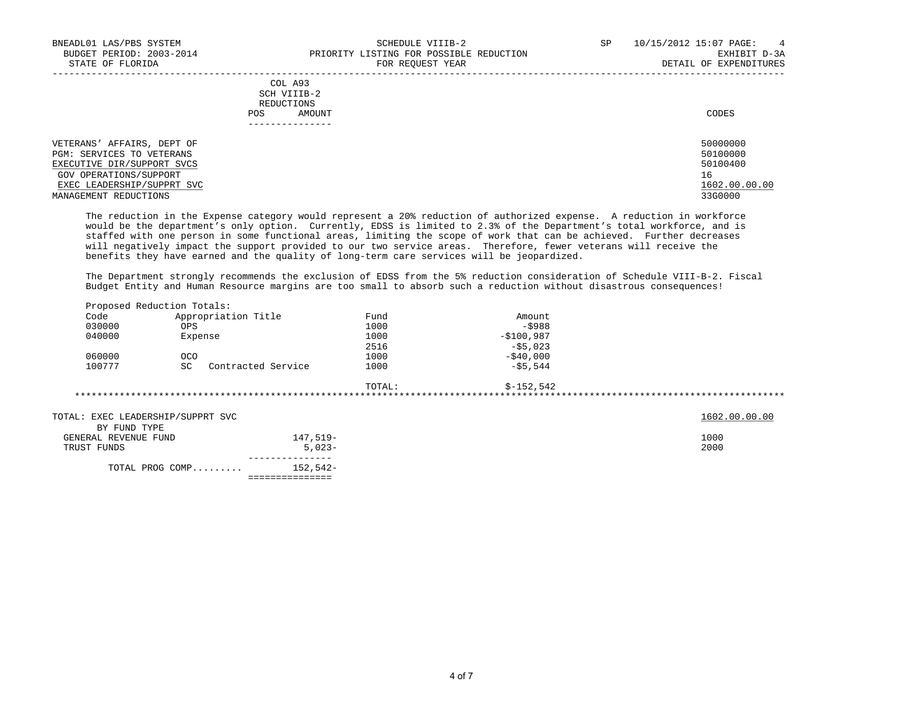-----------------------------------------------------------------------------------------------------------------------------------

|     | --------------- |       |
|-----|-----------------|-------|
| POS | AMOUNT          | CODES |
|     | REDUCTIONS      |       |
|     | SCH VIIIB-2     |       |
|     | COL A93         |       |

 VETERANS' AFFAIRS, DEPT OF 50000000 PGM: SERVICES TO VETERANS 50100000 PGM: 50100000 PGM: 50100000 PGM: 50100000 PGM: 50100000 PGM: 50100000 PGM: 50100000 PGM: 50100400 PGM: 50100400 PGM: 50100400 PGM: 50100400 PGM: 50100400 PGM: 50100400 PGM: 50100400 PGM:  $\frac{\text{EXECUTE}}{\text{GOV} \text{ OPERATIONS/SUPPORT}}$  svcs 501  $\frac{16}{16}$ GOV OPERATIONS/SUPPORT 16<br>EXEC LEADERSHIP/SUPPRT SVC 1999 CONTROL CONTROL CONTROL CONTROL CONTROL CONTROL CONTROL CONTROL CONTROL CONTRO<br>EXEC LEADERSHIP/SUPPRT SVC  $\texttt{EXEC}$  LEADERSHIP/SUPPRT SVC  $1602.00$ .<br>  $2360000$ MANAGEMENT REDUCTIONS

 The reduction in the Expense category would represent a 20% reduction of authorized expense. A reduction in workforce would be the department's only option. Currently, EDSS is limited to 2.3% of the Department's total workforce, and is staffed with one person in some functional areas, limiting the scope of work that can be achieved. Further decreases will negatively impact the support provided to our two service areas. Therefore, fewer veterans will receive the benefits they have earned and the quality of long-term care services will be jeopardized.

 The Department strongly recommends the exclusion of EDSS from the 5% reduction consideration of Schedule VIII-B-2. Fiscal Budget Entity and Human Resource margins are too small to absorb such a reduction without disastrous consequences!

|                                   | Proposed Reduction Totals: |                 |        |             |               |
|-----------------------------------|----------------------------|-----------------|--------|-------------|---------------|
| Code                              | Appropriation Title        |                 | Fund   | Amount      |               |
| 030000                            | <b>OPS</b>                 |                 | 1000   | $-5988$     |               |
| 040000                            | Expense                    |                 | 1000   | $-$100,987$ |               |
|                                   |                            |                 | 2516   | $-55,023$   |               |
| 060000                            | <b>OCO</b>                 |                 | 1000   | $-540,000$  |               |
| 100777                            | SC<br>Contracted Service   |                 | 1000   | $-55,544$   |               |
|                                   |                            |                 | TOTAL: | \$-152,542  |               |
|                                   |                            |                 |        |             |               |
| TOTAL: EXEC LEADERSHIP/SUPPRT SVC |                            |                 |        |             | 1602.00.00.00 |
| BY FUND TYPE                      |                            |                 |        |             |               |
| GENERAL REVENUE FUND              |                            | 147,519-        |        |             | 1000          |
| TRUST FUNDS                       |                            | $5.023 -$       |        |             | 2000          |
|                                   | TOTAL PROG COMP            | 152,542-        |        |             |               |
|                                   |                            | =============== |        |             |               |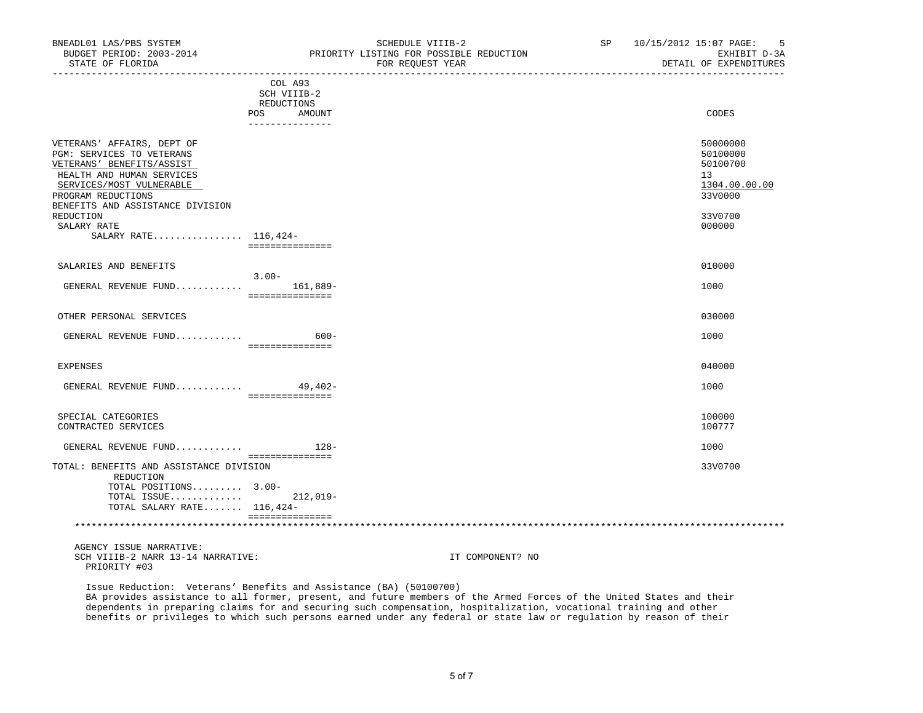| BUDGEI FERIOD, 2003-2014<br>STATE OF FLORIDA                                                                                                                                                                                                                | FRIORIII DISIING FOR POSSIBUE REDUCIION<br>FOR REOUEST YEAR       | PAUTDII D-98<br>DETAIL OF EXPENDITURES                                                  |
|-------------------------------------------------------------------------------------------------------------------------------------------------------------------------------------------------------------------------------------------------------------|-------------------------------------------------------------------|-----------------------------------------------------------------------------------------|
| POS                                                                                                                                                                                                                                                         | COL A93<br>SCH VIIIB-2<br>REDUCTIONS<br>AMOUNT<br>_______________ | CODES                                                                                   |
| VETERANS' AFFAIRS, DEPT OF<br>PGM: SERVICES TO VETERANS<br>VETERANS' BENEFITS/ASSIST<br>HEALTH AND HUMAN SERVICES<br>SERVICES/MOST VULNERABLE<br>PROGRAM REDUCTIONS<br>BENEFITS AND ASSISTANCE DIVISION<br>REDUCTION<br>SALARY RATE<br>SALARY RATE 116,424- | ===============                                                   | 50000000<br>50100000<br>50100700<br>13<br>1304.00.00.00<br>33V0000<br>33V0700<br>000000 |
| SALARIES AND BENEFITS                                                                                                                                                                                                                                       |                                                                   | 010000                                                                                  |
| GENERAL REVENUE FUND                                                                                                                                                                                                                                        | $3.00 -$<br>161,889-<br>===============                           | 1000                                                                                    |
| OTHER PERSONAL SERVICES                                                                                                                                                                                                                                     |                                                                   | 030000                                                                                  |
| GENERAL REVENUE FUND                                                                                                                                                                                                                                        | $600 -$<br>===============                                        | 1000                                                                                    |
| EXPENSES                                                                                                                                                                                                                                                    |                                                                   | 040000                                                                                  |
| GENERAL REVENUE FUND 49,402-                                                                                                                                                                                                                                | ===============                                                   | 1000                                                                                    |
| SPECIAL CATEGORIES<br>CONTRACTED SERVICES                                                                                                                                                                                                                   |                                                                   | 100000<br>100777                                                                        |
| GENERAL REVENUE FUND $128 -$                                                                                                                                                                                                                                | ===============                                                   | 1000                                                                                    |
| TOTAL: BENEFITS AND ASSISTANCE DIVISION<br>REDUCTION                                                                                                                                                                                                        |                                                                   | 33V0700                                                                                 |

 REDUCTION TOTAL POSITIONS......... 3.00- TOTAL ISSUE............. 212,019- TOTAL SALARY RATE....... 116,424- =============== \*\*\*\*\*\*\*\*\*\*\*\*\*\*\*\*\*\*\*\*\*\*\*\*\*\*\*\*\*\*\*\*\*\*\*\*\*\*\*\*\*\*\*\*\*\*\*\*\*\*\*\*\*\*\*\*\*\*\*\*\*\*\*\*\*\*\*\*\*\*\*\*\*\*\*\*\*\*\*\*\*\*\*\*\*\*\*\*\*\*\*\*\*\*\*\*\*\*\*\*\*\*\*\*\*\*\*\*\*\*\*\*\*\*\*\*\*\*\*\*\*\*\*\*\*\*\*

 AGENCY ISSUE NARRATIVE: SCH VIIIB-2 NARR 13-14 NARRATIVE: IT COMPONENT? NO PRIORITY #03

 Issue Reduction: Veterans' Benefits and Assistance (BA) (50100700) BA provides assistance to all former, present, and future members of the Armed Forces of the United States and their dependents in preparing claims for and securing such compensation, hospitalization, vocational training and other benefits or privileges to which such persons earned under any federal or state law or regulation by reason of their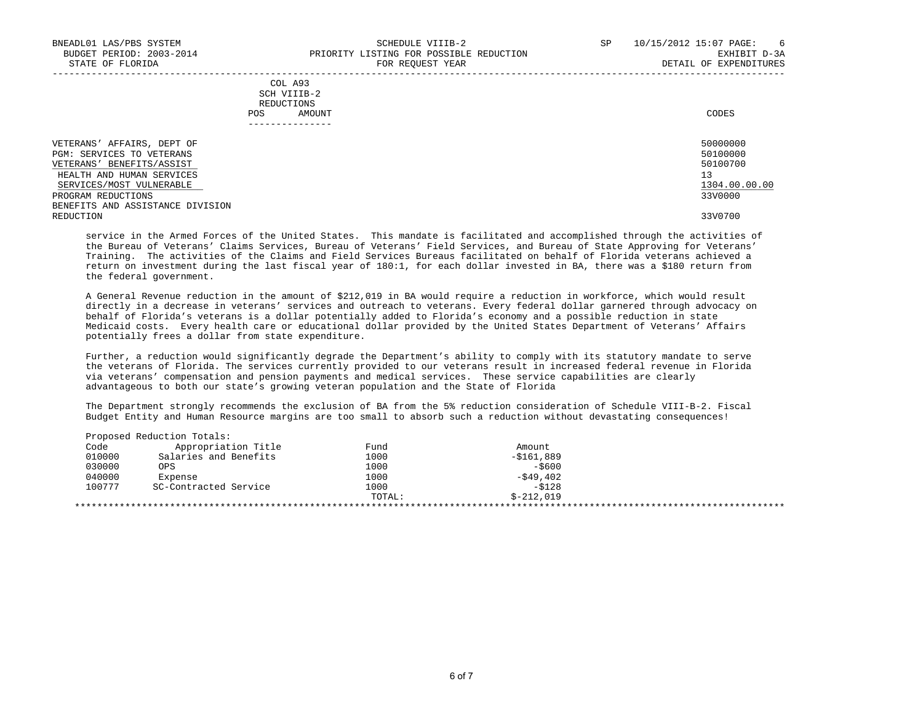-----------------------------------------------------------------------------------------------------------------------------------

|     | --------------- |       |
|-----|-----------------|-------|
| POS | AMOUNT          | CODES |
|     | REDUCTIONS      |       |
|     | SCH VIIIB-2     |       |
|     | COL A93         |       |

| VETERANS' AFFAIRS, DEPT OF       | 50000000      |
|----------------------------------|---------------|
| PGM: SERVICES TO VETERANS        | 50100000      |
| VETERANS' BENEFITS/ASSIST        | 50100700      |
| HEALTH AND HUMAN SERVICES        | 13            |
| SERVICES/MOST VULNERABLE         | 1304.00.00.00 |
| PROGRAM REDUCTIONS               | 33V0000       |
| BENEFITS AND ASSISTANCE DIVISION |               |
| REDUCTION                        | 33V0700       |

 service in the Armed Forces of the United States. This mandate is facilitated and accomplished through the activities of the Bureau of Veterans' Claims Services, Bureau of Veterans' Field Services, and Bureau of State Approving for Veterans' Training. The activities of the Claims and Field Services Bureaus facilitated on behalf of Florida veterans achieved a return on investment during the last fiscal year of 180:1, for each dollar invested in BA, there was a \$180 return from the federal government.

 A General Revenue reduction in the amount of \$212,019 in BA would require a reduction in workforce, which would result directly in a decrease in veterans' services and outreach to veterans. Every federal dollar garnered through advocacy on behalf of Florida's veterans is a dollar potentially added to Florida's economy and a possible reduction in state Medicaid costs. Every health care or educational dollar provided by the United States Department of Veterans' Affairs potentially frees a dollar from state expenditure.

 Further, a reduction would significantly degrade the Department's ability to comply with its statutory mandate to serve the veterans of Florida. The services currently provided to our veterans result in increased federal revenue in Florida via veterans' compensation and pension payments and medical services. These service capabilities are clearly advantageous to both our state's growing veteran population and the State of Florida

 The Department strongly recommends the exclusion of BA from the 5% reduction consideration of Schedule VIII-B-2. Fiscal Budget Entity and Human Resource margins are too small to absorb such a reduction without devastating consequences!

| Code   | Appropriation Title   | Fund   | Amount      |  |
|--------|-----------------------|--------|-------------|--|
| 010000 | Salaries and Benefits | 1000   | $-5161,889$ |  |
| 030000 | OPS                   | 1000   | $-5600$     |  |
| 040000 | Expense               | 1000   | -\$49,402   |  |
| 100777 | SC-Contracted Service | 1000   | $-5128$     |  |
|        |                       | TOTAL: | $$-212.019$ |  |